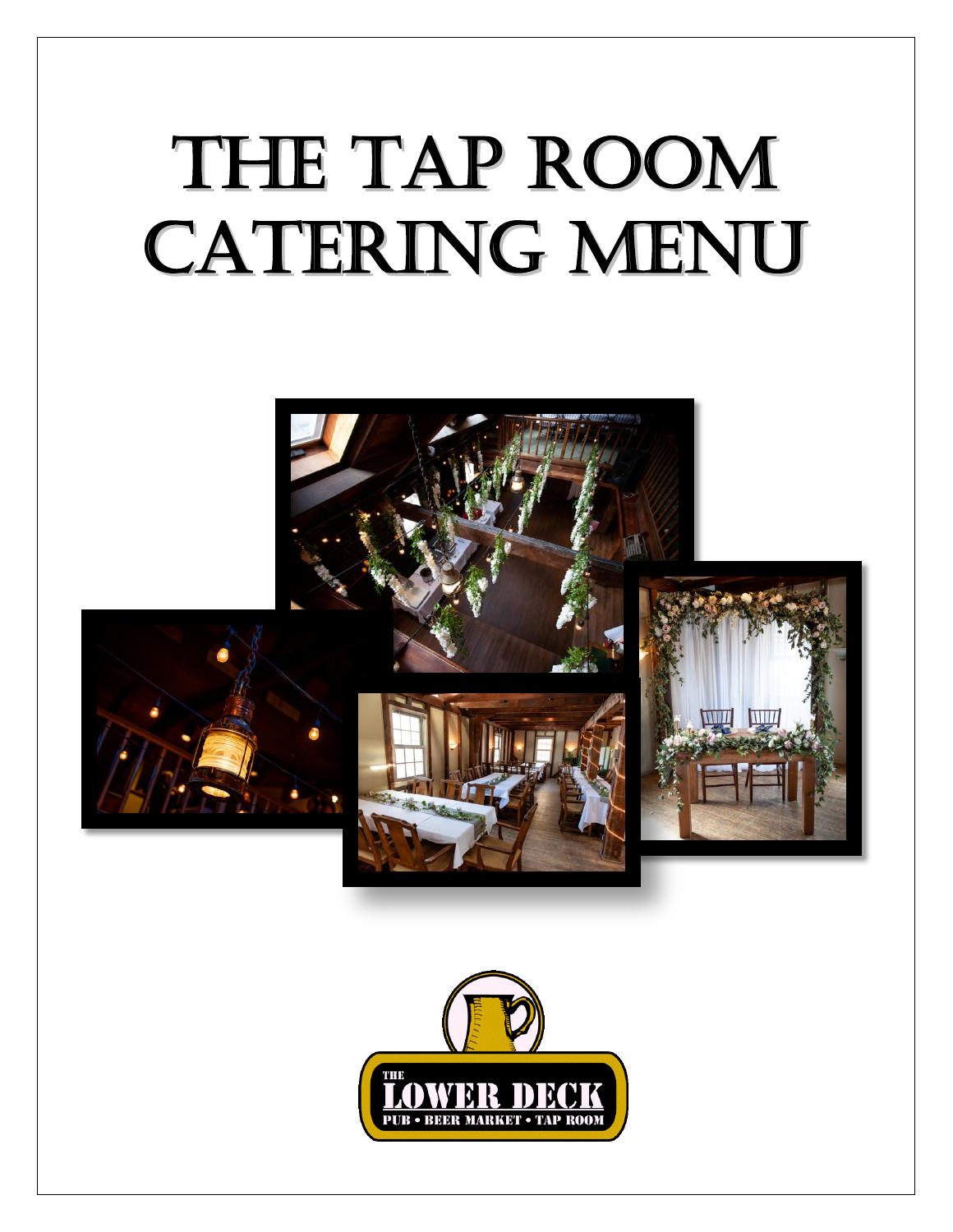# THE TAP ROOM **CATERING MENU**



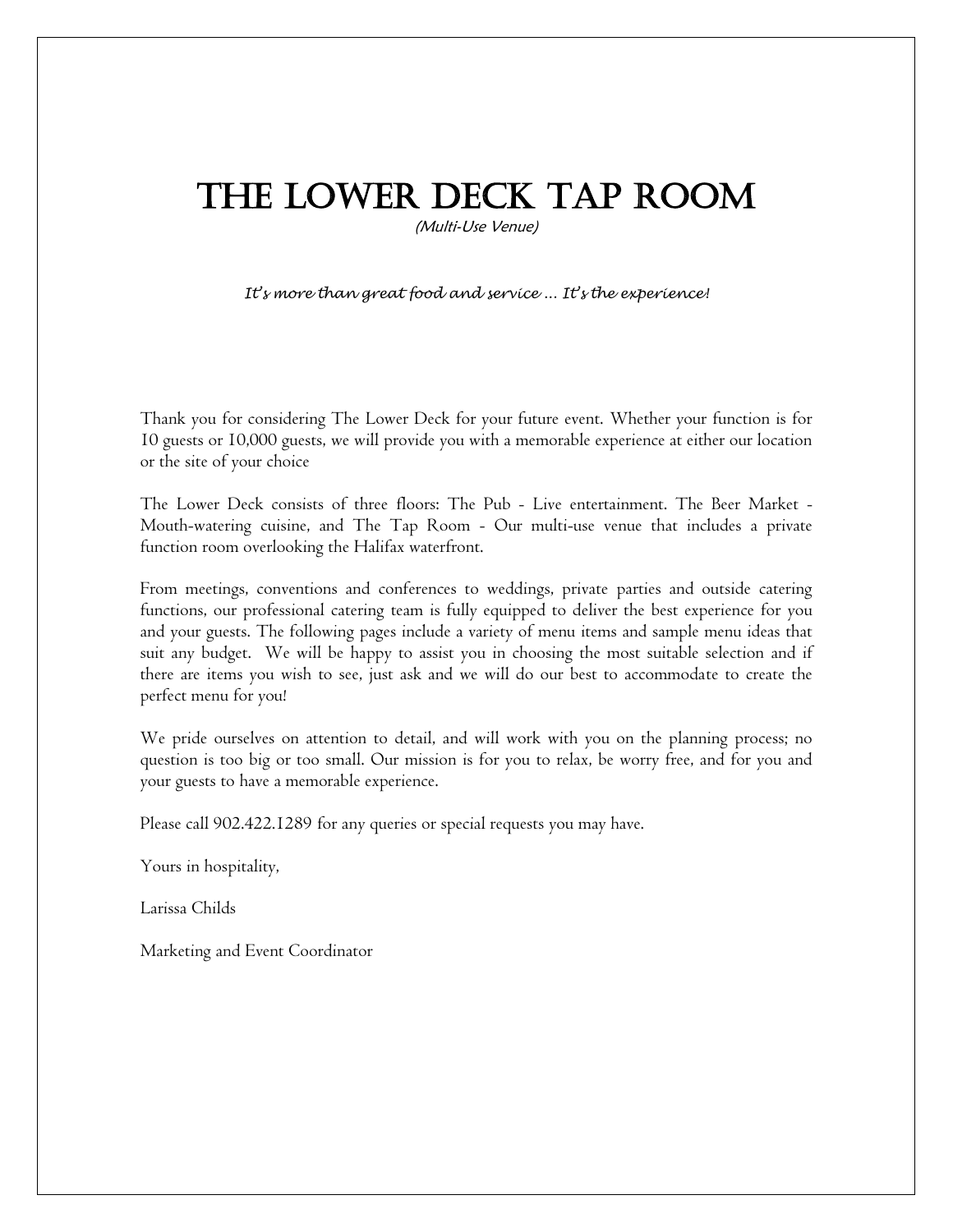## The Lower Deck Tap Room

(Multi-Use Venue)

*It's more than great food and service ... It's the experience!*

Thank you for considering The Lower Deck for your future event. Whether your function is for 10 guests or 10,000 guests, we will provide you with a memorable experience at either our location or the site of your choice

The Lower Deck consists of three floors: The Pub - Live entertainment. The Beer Market - Mouth-watering cuisine, and The Tap Room - Our multi-use venue that includes a private function room overlooking the Halifax waterfront.

From meetings, conventions and conferences to weddings, private parties and outside catering functions, our professional catering team is fully equipped to deliver the best experience for you and your guests. The following pages include a variety of menu items and sample menu ideas that suit any budget. We will be happy to assist you in choosing the most suitable selection and if there are items you wish to see, just ask and we will do our best to accommodate to create the perfect menu for you!

We pride ourselves on attention to detail, and will work with you on the planning process; no question is too big or too small. Our mission is for you to relax, be worry free, and for you and your guests to have a memorable experience.

Please call 902.422.1289 for any queries or special requests you may have.

Yours in hospitality,

Larissa Childs

Marketing and Event Coordinator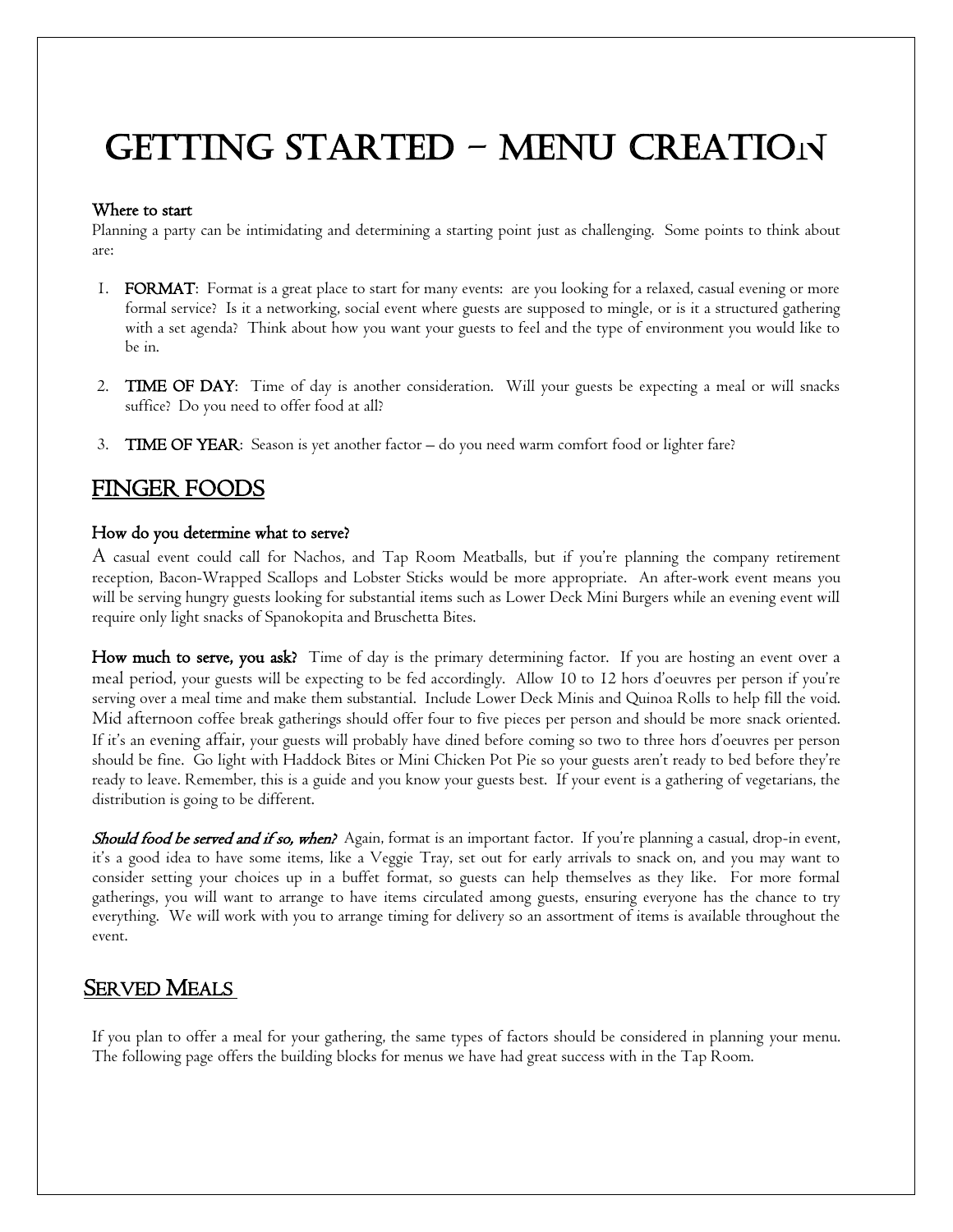# Getting started – menu creation

#### Where to start

Planning a party can be intimidating and determining a starting point just as challenging. Some points to think about are:

- 1. FORMAT: Format is a great place to start for many events: are you looking for a relaxed, casual evening or more formal service? Is it a networking, social event where guests are supposed to mingle, or is it a structured gathering with a set agenda? Think about how you want your guests to feel and the type of environment you would like to be in.
- 2. TIME OF DAY: Time of day is another consideration. Will your guests be expecting a meal or will snacks suffice? Do you need to offer food at all?
- 3. TIME OF YEAR: Season is yet another factor do you need warm comfort food or lighter fare?

#### FINGER FOODS

#### How do you determine what to serve?

A casual event could call for Nachos, and Tap Room Meatballs, but if you're planning the company retirement reception, Bacon-Wrapped Scallops and Lobster Sticks would be more appropriate. An after-work event means you will be serving hungry guests looking for substantial items such as Lower Deck Mini Burgers while an evening event will require only light snacks of Spanokopita and Bruschetta Bites.

How much to serve, you ask? Time of day is the primary determining factor. If you are hosting an event over a meal period, your guests will be expecting to be fed accordingly. Allow 10 to 12 hors d'oeuvres per person if you're serving over a meal time and make them substantial. Include Lower Deck Minis and Quinoa Rolls to help fill the void. Mid afternoon coffee break gatherings should offer four to five pieces per person and should be more snack oriented. If it's an evening affair, your guests will probably have dined before coming so two to three hors d'oeuvres per person should be fine. Go light with Haddock Bites or Mini Chicken Pot Pie so your guests aren't ready to bed before they're ready to leave. Remember, this is a guide and you know your guests best. If your event is a gathering of vegetarians, the distribution is going to be different.

Should food be served and if so, when? Again, format is an important factor. If you're planning a casual, drop-in event, it's a good idea to have some items, like a Veggie Tray, set out for early arrivals to snack on, and you may want to consider setting your choices up in a buffet format, so guests can help themselves as they like. For more formal gatherings, you will want to arrange to have items circulated among guests, ensuring everyone has the chance to try everything. We will work with you to arrange timing for delivery so an assortment of items is available throughout the event.

#### **SERVED MEALS**

If you plan to offer a meal for your gathering, the same types of factors should be considered in planning your menu. The following page offers the building blocks for menus we have had great success with in the Tap Room.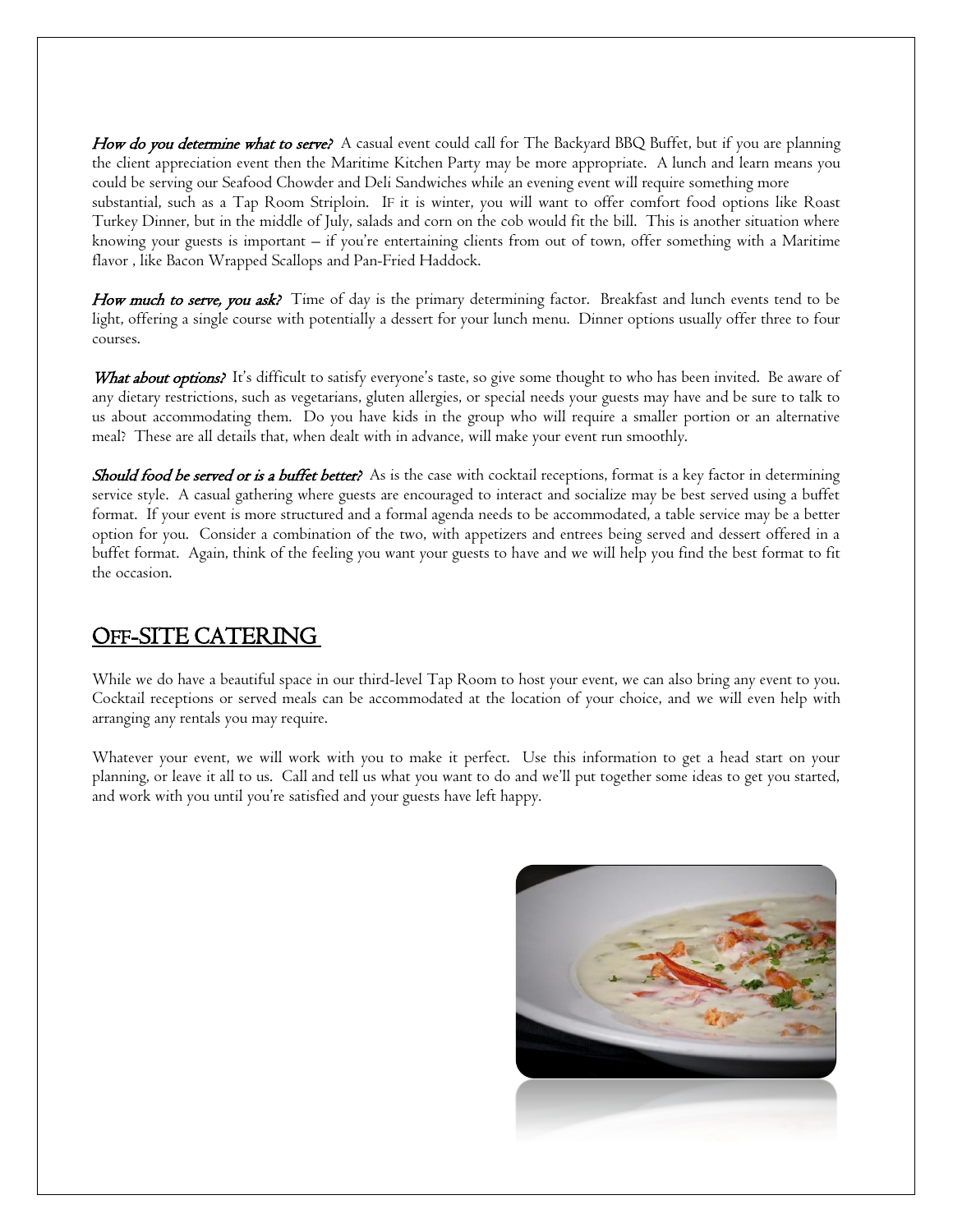How do you determine what to serve? A casual event could call for The Backyard BBQ Buffet, but if you are planning the client appreciation event then the Maritime Kitchen Party may be more appropriate. A lunch and learn means you could be serving our Seafood Chowder and Deli Sandwiches while an evening event will require something more substantial, such as a Tap Room Striploin. IF it is winter, you will want to offer comfort food options like Roast Turkey Dinner, but in the middle of July, salads and corn on the cob would fit the bill. This is another situation where knowing your guests is important – if you're entertaining clients from out of town, offer something with a Maritime flavor , like Bacon Wrapped Scallops and Pan-Fried Haddock.

How much to serve, you ask? Time of day is the primary determining factor. Breakfast and lunch events tend to be light, offering a single course with potentially a dessert for your lunch menu. Dinner options usually offer three to four courses.

What about options? It's difficult to satisfy everyone's taste, so give some thought to who has been invited. Be aware of any dietary restrictions, such as vegetarians, gluten allergies, or special needs your guests may have and be sure to talk to us about accommodating them. Do you have kids in the group who will require a smaller portion or an alternative meal? These are all details that, when dealt with in advance, will make your event run smoothly.

Should food be served or is a buffet better? As is the case with cocktail receptions, format is a key factor in determining service style. A casual gathering where guests are encouraged to interact and socialize may be best served using a buffet format. If your event is more structured and a formal agenda needs to be accommodated, a table service may be a better option for you. Consider a combination of the two, with appetizers and entrees being served and dessert offered in a buffet format. Again, think of the feeling you want your guests to have and we will help you find the best format to fit the occasion.

#### OFF-SITE CATERING

While we do have a beautiful space in our third-level Tap Room to host your event, we can also bring any event to you. Cocktail receptions or served meals can be accommodated at the location of your choice, and we will even help with arranging any rentals you may require.

Whatever your event, we will work with you to make it perfect. Use this information to get a head start on your planning, or leave it all to us. Call and tell us what you want to do and we'll put together some ideas to get you started, and work with you until you're satisfied and your guests have left happy.

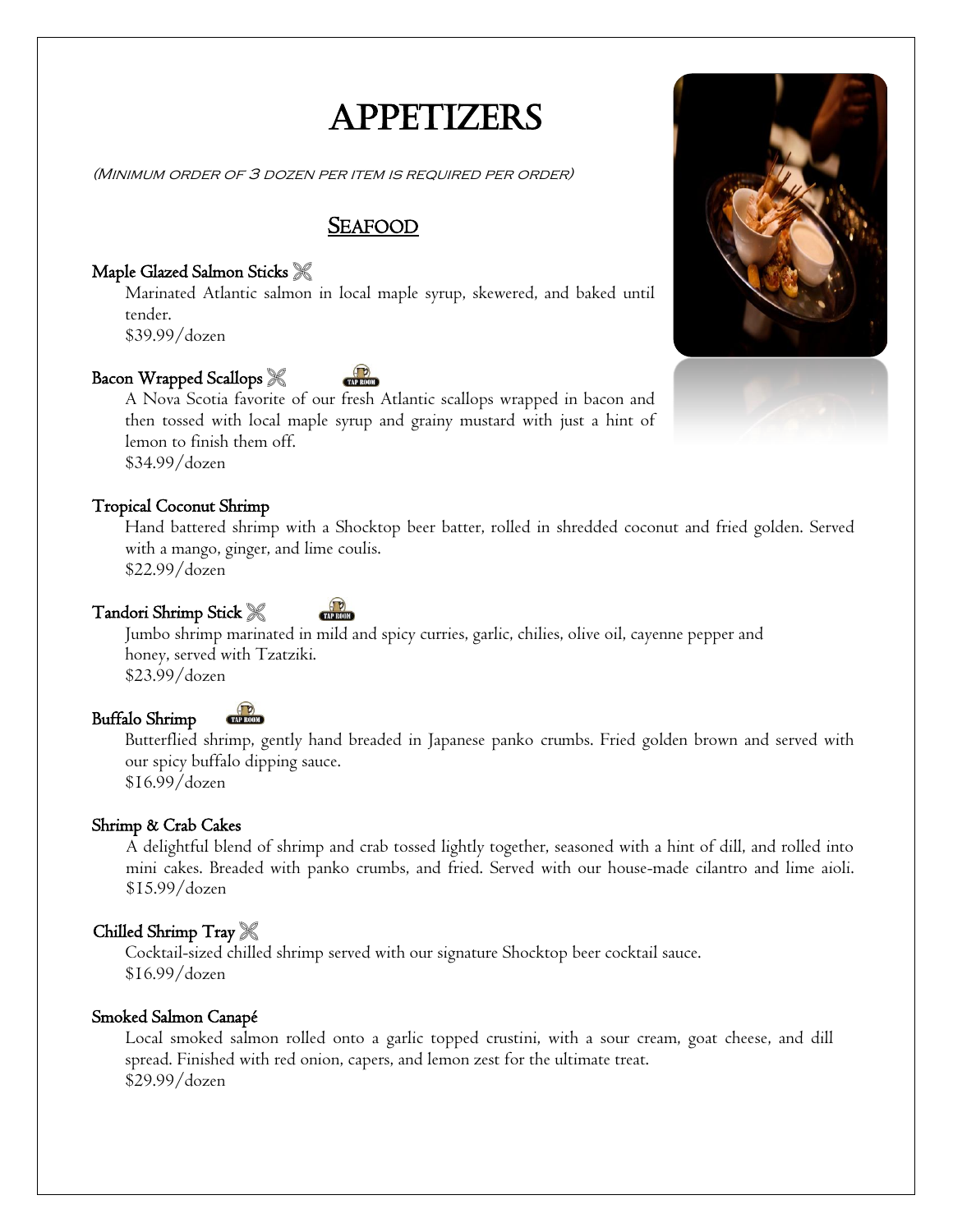### **APPETIZERS**

(Minimum order of 3 dozen per item is required per order)

#### <sup>S</sup>EAFOOD

#### Maple Glazed Salmon Sticks

Marinated Atlantic salmon in local maple syrup, skewered, and baked until tender.

\$39.99/dozen

#### Bacon Wrapped Scallops

A Nova Scotia favorite of our fresh Atlantic scallops wrapped in bacon and then tossed with local maple syrup and grainy mustard with just a hint of lemon to finish them off. \$34.99/dozen

#### Tropical Coconut Shrimp

Hand battered shrimp with a Shocktop beer batter, rolled in shredded coconut and fried golden. Served with a mango, ginger, and lime coulis. \$22.99/dozen

Tandori Shrimp Stick

Jumbo shrimp marinated in mild and spicy curries, garlic, chilies, olive oil, cayenne pepper and honey, served with Tzatziki. \$23.99/dozen

#### Buffalo Shrimp

Butterflied shrimp, gently hand breaded in Japanese panko crumbs. Fried golden brown and served with our spicy buffalo dipping sauce. \$16.99/dozen

#### Shrimp & Crab Cakes

A delightful blend of shrimp and crab tossed lightly together, seasoned with a hint of dill, and rolled into mini cakes. Breaded with panko crumbs, and fried. Served with our house-made cilantro and lime aioli. \$15.99/dozen

#### Chilled Shrimp Tray

Cocktail-sized chilled shrimp served with our signature Shocktop beer cocktail sauce. \$16.99/dozen

#### Smoked Salmon Canapé

Local smoked salmon rolled onto a garlic topped crustini, with a sour cream, goat cheese, and dill spread. Finished with red onion, capers, and lemon zest for the ultimate treat. \$29.99/dozen

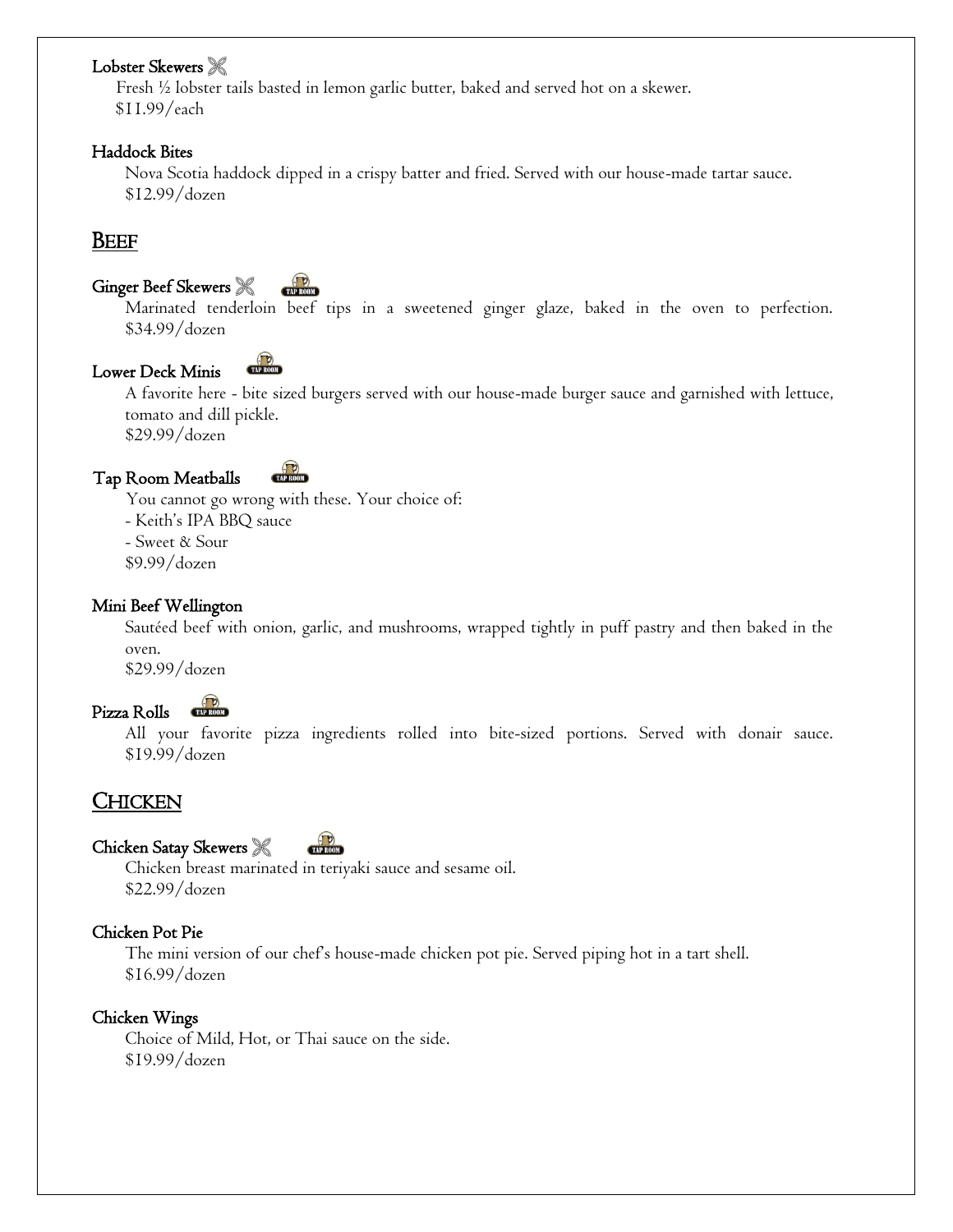#### Lobster Skewers  $\mathscr R$

 Fresh ½ lobster tails basted in lemon garlic butter, baked and served hot on a skewer. \$11.99/each

#### Haddock Bites

Nova Scotia haddock dipped in a crispy batter and fried. Served with our house-made tartar sauce. \$12.99/dozen

#### **BEEF**

#### Ginger Beef Skewers

**CEAP ROOM** 

Marinated tenderloin beef tips in a sweetened ginger glaze, baked in the oven to perfection. \$34.99/dozen



A favorite here - bite sized burgers served with our house-made burger sauce and garnished with lettuce, tomato and dill pickle.

\$29.99/dozen



You cannot go wrong with these. Your choice of: - Keith's IPA BBQ sauce - Sweet & Sour \$9.99/dozen

#### Mini Beef Wellington

Sautéed beef with onion, garlic, and mushrooms, wrapped tightly in puff pastry and then baked in the oven. \$29.99/dozen

Pizza Rolls

 All your favorite pizza ingredients rolled into bite-sized portions. Served with donair sauce. \$19.99/dozen

#### CHICKEN

#### Chicken Satay Skewers TAP ROOM

Chicken breast marinated in teriyaki sauce and sesame oil. \$22.99/dozen

#### Chicken Pot Pie

The mini version of our chef's house-made chicken pot pie. Served piping hot in a tart shell. \$16.99/dozen

#### Chicken Wings

 Choice of Mild, Hot, or Thai sauce on the side. \$19.99/dozen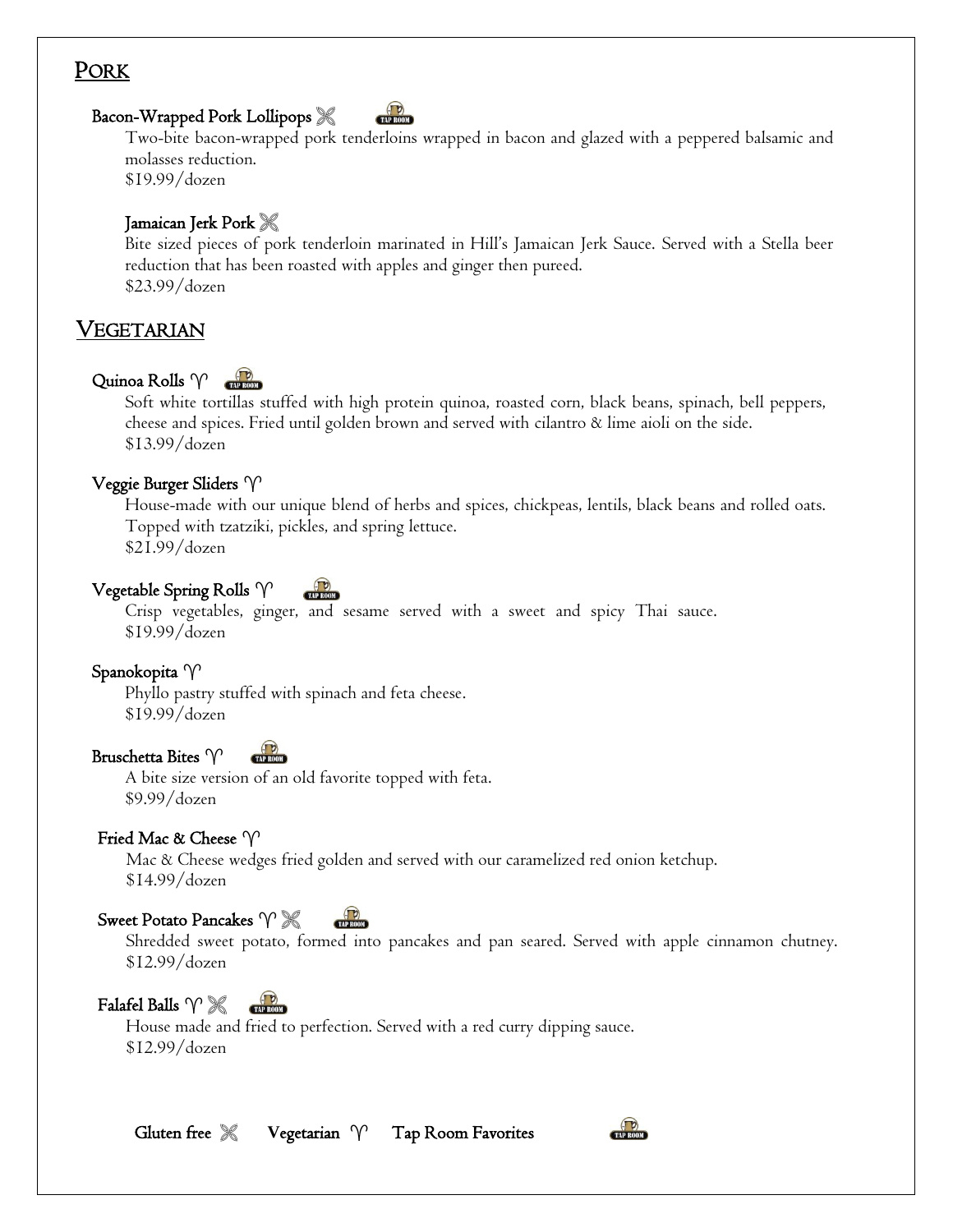#### PORK

#### Bacon-Wrapped Pork Lollipops

Two-bite bacon-wrapped pork tenderloins wrapped in bacon and glazed with a peppered balsamic and molasses reduction.

\$19.99/dozen

#### Jamaican Jerk Pork

Bite sized pieces of pork tenderloin marinated in Hill's Jamaican Jerk Sauce. Served with a Stella beer reduction that has been roasted with apples and ginger then pureed. \$23.99/dozen

#### VEGETARIAN

#### Quinoa Rolls  $\gamma$

Soft white tortillas stuffed with high protein quinoa, roasted corn, black beans, spinach, bell peppers, cheese and spices. Fried until golden brown and served with cilantro & lime aioli on the side. \$13.99/dozen

#### Veggie Burger Sliders

House-made with our unique blend of herbs and spices, chickpeas, lentils, black beans and rolled oats. Topped with tzatziki, pickles, and spring lettuce. \$21.99/dozen

#### Vegetable Spring Rolls  $\gamma$

Crisp vegetables, ginger, and sesame served with a sweet and spicy Thai sauce. \$19.99/dozen

Spanokopita V Phyllo pastry stuffed with spinach and feta cheese.

\$19.99/dozen

#### Bruschetta Bites V **CTAP ROOM**

A bite size version of an old favorite topped with feta. \$9.99/dozen

#### Fried Mac & Cheese  $\varphi$

Mac & Cheese wedges fried golden and served with our caramelized red onion ketchup. \$14.99/dozen

#### Sweet Potato Pancakes  $\gamma \mathcal{K}$

Shredded sweet potato, formed into pancakes and pan seared. Served with apple cinnamon chutney. \$12.99/dozen

#### Falafel Balls  $\mathcal{V}\mathcal{K}$  $\left(\frac{1}{2}\right)$

 House made and fried to perfection. Served with a red curry dipping sauce. \$12.99/dozen

Gluten free  $\mathscr X$  Vegetarian  $\gamma$  Tap Room Favorites

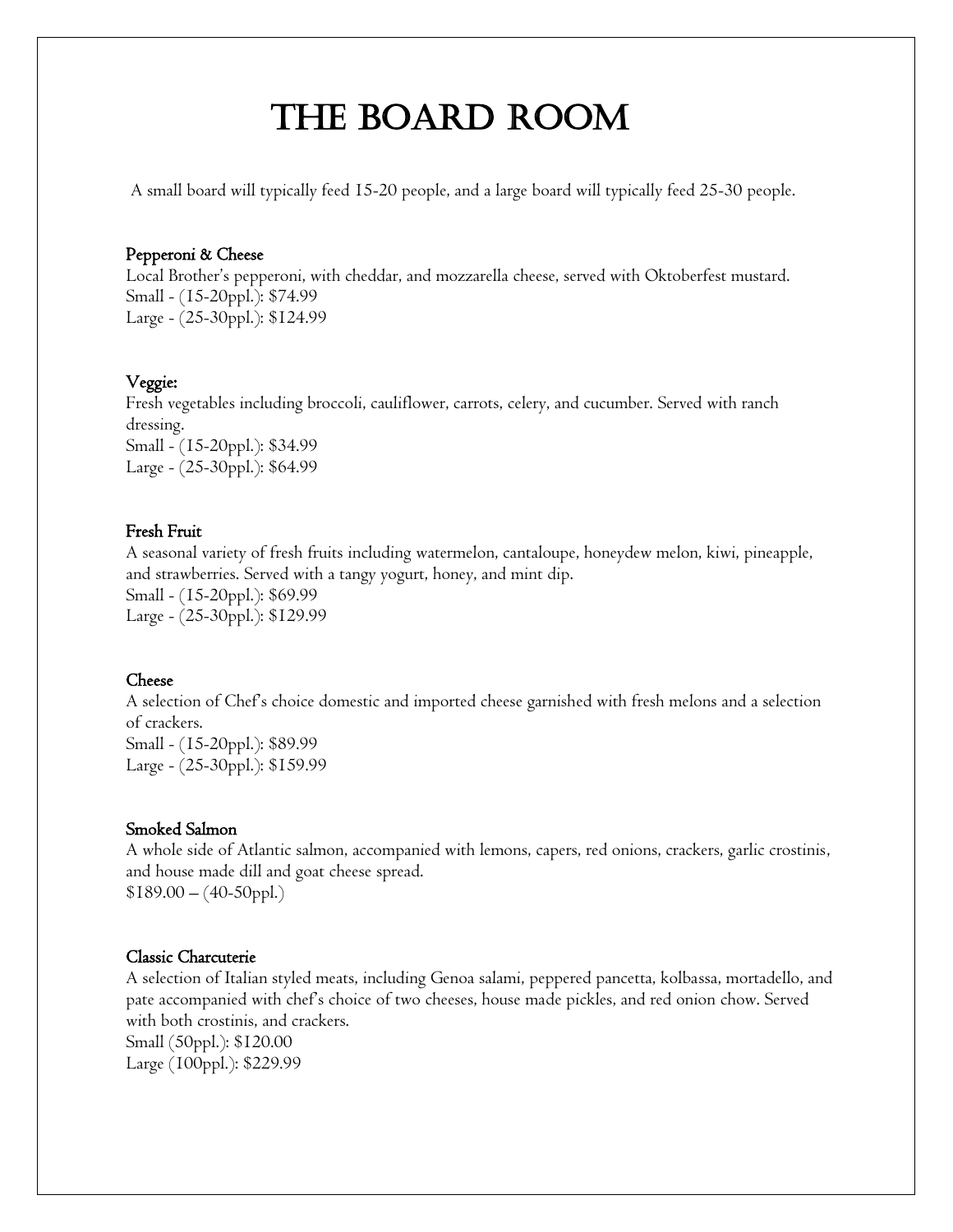## The Board Room

A small board will typically feed 15-20 people, and a large board will typically feed 25-30 people.

#### Pepperoni & Cheese

Local Brother's pepperoni, with cheddar, and mozzarella cheese, served with Oktoberfest mustard. Small - (15-20ppl.): \$74.99 Large - (25-30ppl.): \$124.99

#### Veggie:

Fresh vegetables including broccoli, cauliflower, carrots, celery, and cucumber. Served with ranch dressing. Small - (15-20ppl.): \$34.99 Large - (25-30ppl.): \$64.99

#### Fresh Fruit

A seasonal variety of fresh fruits including watermelon, cantaloupe, honeydew melon, kiwi, pineapple, and strawberries. Served with a tangy yogurt, honey, and mint dip. Small - (15-20ppl.): \$69.99 Large - (25-30ppl.): \$129.99

#### Cheese

A selection of Chef's choice domestic and imported cheese garnished with fresh melons and a selection of crackers. Small - (15-20ppl.): \$89.99 Large - (25-30ppl.): \$159.99

#### Smoked Salmon

A whole side of Atlantic salmon, accompanied with lemons, capers, red onions, crackers, garlic crostinis, and house made dill and goat cheese spread.  $$189.00-(40-50ppl.)$ 

#### Classic Charcuterie

A selection of Italian styled meats, including Genoa salami, peppered pancetta, kolbassa, mortadello, and pate accompanied with chef's choice of two cheeses, house made pickles, and red onion chow. Served with both crostinis, and crackers. Small (50ppl.): \$120.00 Large (100ppl.): \$229.99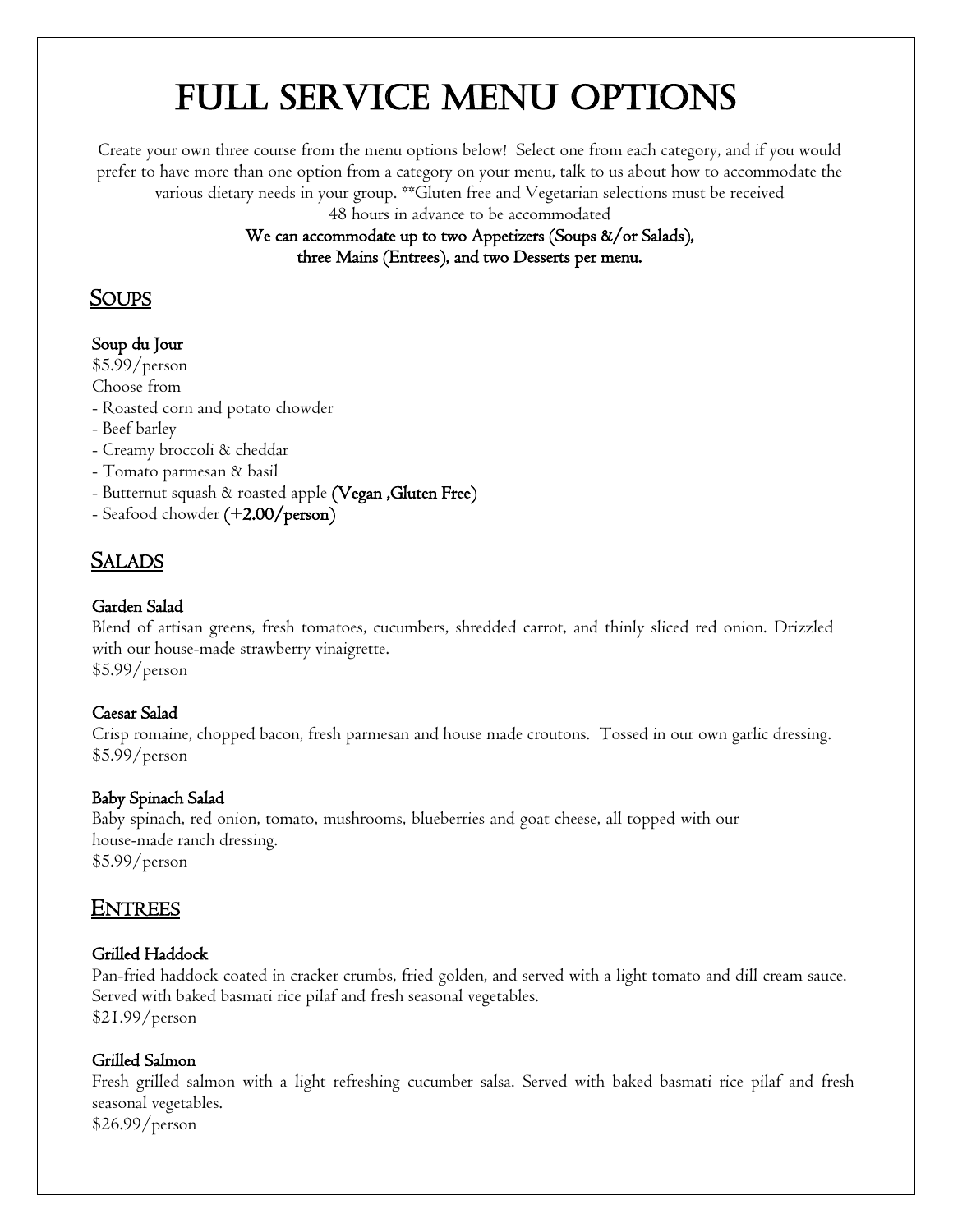# Full Service menu options

Create your own three course from the menu options below! Select one from each category, and if you would prefer to have more than one option from a category on your menu, talk to us about how to accommodate the various dietary needs in your group. \*\*Gluten free and Vegetarian selections must be received

48 hours in advance to be accommodated

We can accommodate up to two Appetizers (Soups &/or Salads), three Mains (Entrees), and two Desserts per menu.

#### **SOUPS**

#### Soup du Jour

\$5.99/person

- Choose from
- Roasted corn and potato chowder
- Beef barley
- Creamy broccoli & cheddar
- Tomato parmesan & basil
- Butternut squash  $\alpha$  roasted apple (Vegan ,Gluten Free)
- Seafood chowder (+2.00/person)

#### SALADS

#### Garden Salad

Blend of artisan greens, fresh tomatoes, cucumbers, shredded carrot, and thinly sliced red onion. Drizzled with our house-made strawberry vinaigrette. \$5.99/person

#### Caesar Salad

Crisp romaine, chopped bacon, fresh parmesan and house made croutons. Tossed in our own garlic dressing. \$5.99/person

#### Baby Spinach Salad

Baby spinach, red onion, tomato, mushrooms, blueberries and goat cheese, all topped with our house-made ranch dressing. \$5.99/person

#### ENTREES

#### Grilled Haddock

Pan-fried haddock coated in cracker crumbs, fried golden, and served with a light tomato and dill cream sauce. Served with baked basmati rice pilaf and fresh seasonal vegetables. \$21.99/person

#### Grilled Salmon

Fresh grilled salmon with a light refreshing cucumber salsa. Served with baked basmati rice pilaf and fresh seasonal vegetables. \$26.99/person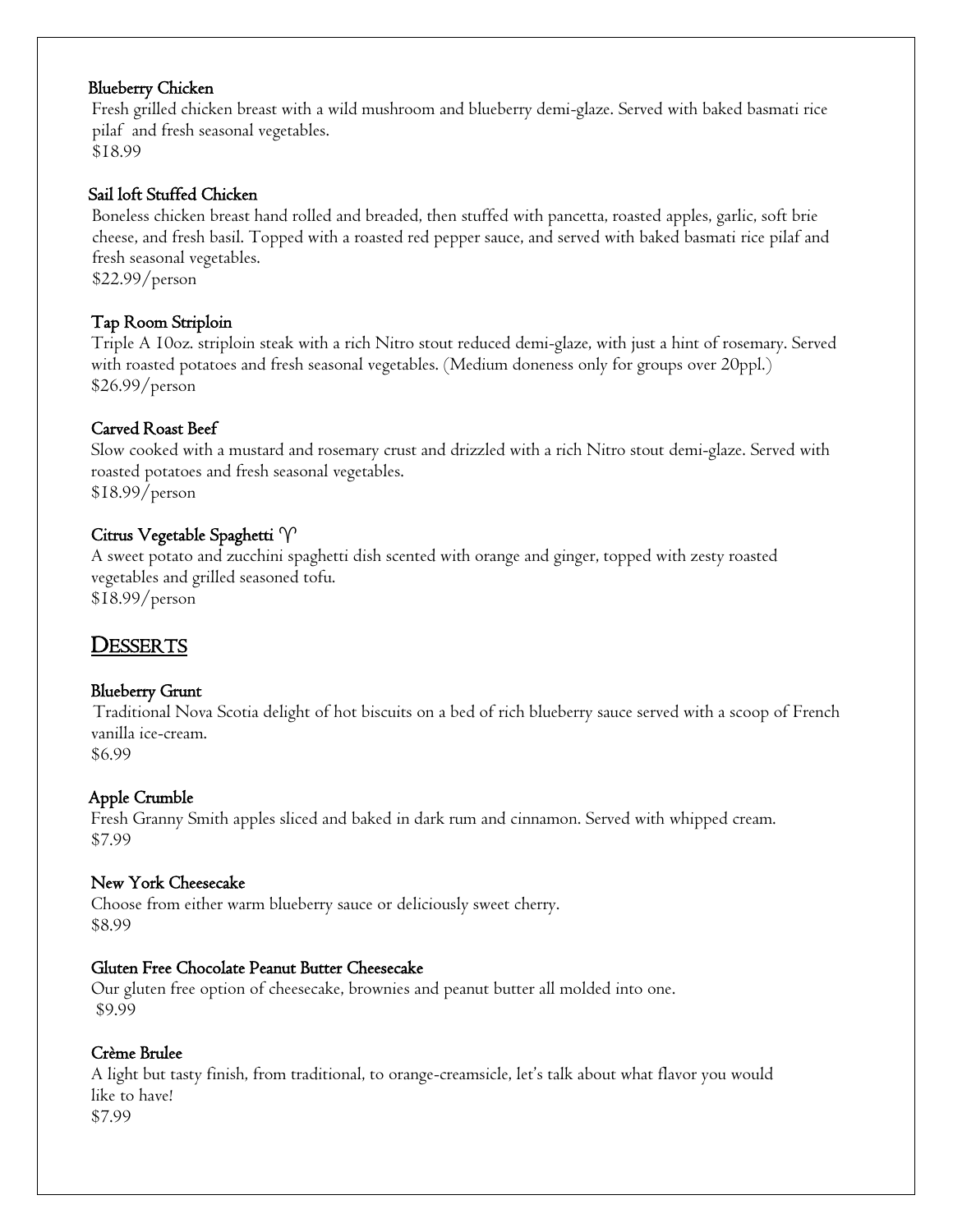#### Blueberry Chicken

Fresh grilled chicken breast with a wild mushroom and blueberry demi-glaze. Served with baked basmati rice pilaf and fresh seasonal vegetables. \$18.99

#### Sail loft Stuffed Chicken

Boneless chicken breast hand rolled and breaded, then stuffed with pancetta, roasted apples, garlic, soft brie cheese, and fresh basil. Topped with a roasted red pepper sauce, and served with baked basmati rice pilaf and fresh seasonal vegetables. \$22.99/person

Tap Room Striploin

Triple A 10oz. striploin steak with a rich Nitro stout reduced demi-glaze, with just a hint of rosemary. Served with roasted potatoes and fresh seasonal vegetables. (Medium doneness only for groups over 20ppl.) \$26.99/person

#### Carved Roast Beef

Slow cooked with a mustard and rosemary crust and drizzled with a rich Nitro stout demi-glaze. Served with roasted potatoes and fresh seasonal vegetables. \$18.99/person

#### Citrus Vegetable Spaghetti  $\gamma$

A sweet potato and zucchini spaghetti dish scented with orange and ginger, topped with zesty roasted vegetables and grilled seasoned tofu. \$18.99/person

### **DESSERTS**

#### Blueberry Grunt

 Traditional Nova Scotia delight of hot biscuits on a bed of rich blueberry sauce served with a scoop of French vanilla ice-cream.

\$6.99

#### Apple Crumble

Fresh Granny Smith apples sliced and baked in dark rum and cinnamon. Served with whipped cream. \$7.99

#### New York Cheesecake

Choose from either warm blueberry sauce or deliciously sweet cherry. \$8.99

#### Gluten Free Chocolate Peanut Butter Cheesecake

Our gluten free option of cheesecake, brownies and peanut butter all molded into one. \$9.99

#### Crème Brulee

A light but tasty finish, from traditional, to orange-creamsicle, let's talk about what flavor you would like to have! \$7.99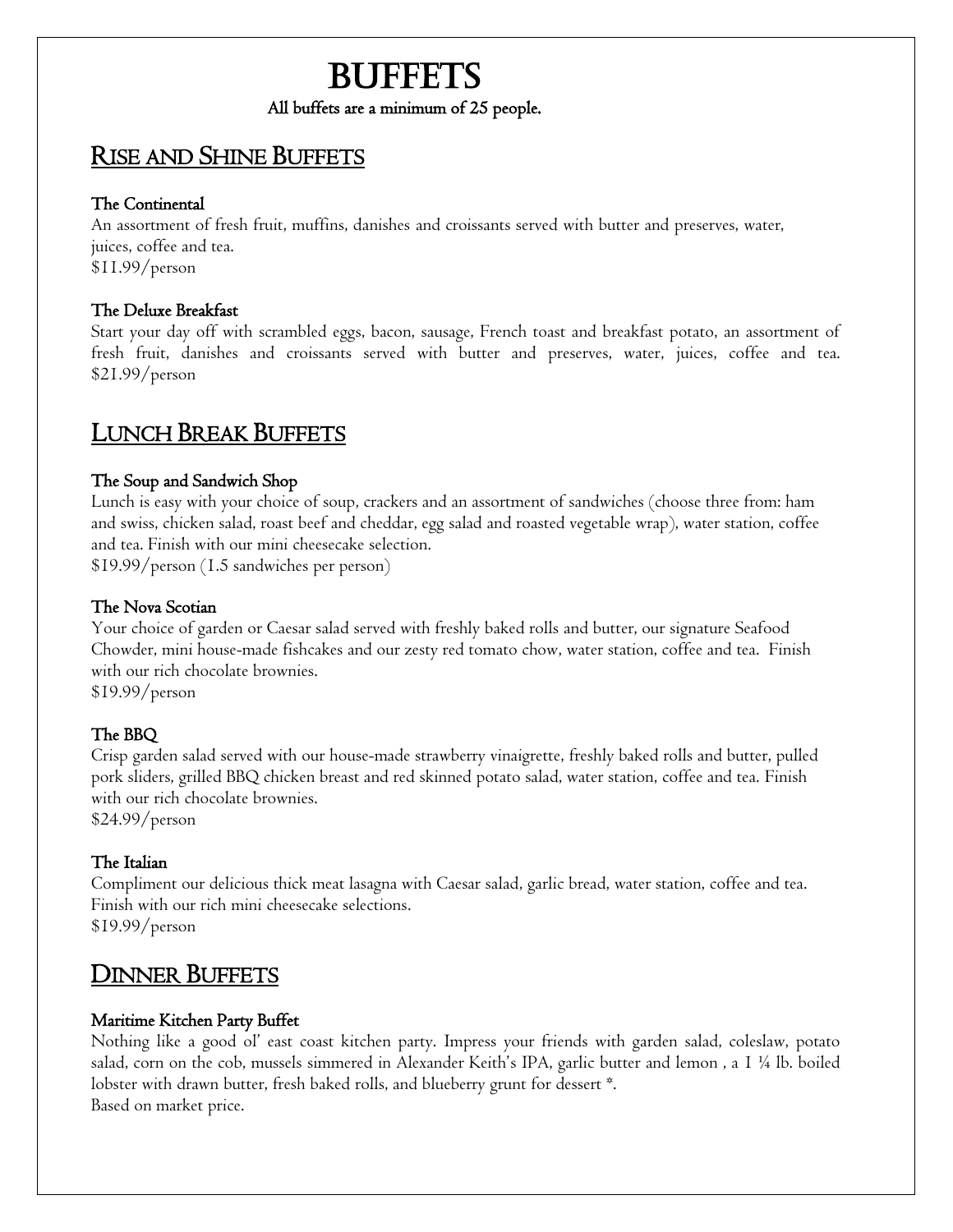### **BUFFETS** All buffets are a minimum of 25 people.

#### RISE AND SHINE BUFFETS

#### The Continental

An assortment of fresh fruit, muffins, danishes and croissants served with butter and preserves, water, juices, coffee and tea. \$11.99/person

#### The Deluxe Breakfast

Start your day off with scrambled eggs, bacon, sausage, French toast and breakfast potato, an assortment of fresh fruit, danishes and croissants served with butter and preserves, water, juices, coffee and tea. \$21.99/person

#### LUNCH BREAK BUFFETS

#### The Soup and Sandwich Shop

Lunch is easy with your choice of soup, crackers and an assortment of sandwiches (choose three from: ham and swiss, chicken salad, roast beef and cheddar, egg salad and roasted vegetable wrap), water station, coffee and tea. Finish with our mini cheesecake selection.

\$19.99/person (1.5 sandwiches per person)

#### The Nova Scotian

Your choice of garden or Caesar salad served with freshly baked rolls and butter, our signature Seafood Chowder, mini house-made fishcakes and our zesty red tomato chow, water station, coffee and tea. Finish with our rich chocolate brownies.

\$19.99/person

#### The BBQ

Crisp garden salad served with our house-made strawberry vinaigrette, freshly baked rolls and butter, pulled pork sliders, grilled BBQ chicken breast and red skinned potato salad, water station, coffee and tea. Finish with our rich chocolate brownies.

\$24.99/person

#### The Italian

Compliment our delicious thick meat lasagna with Caesar salad, garlic bread, water station, coffee and tea. Finish with our rich mini cheesecake selections. \$19.99/person

#### **DINNER BUFFETS**

#### Maritime Kitchen Party Buffet

Nothing like a good ol' east coast kitchen party. Impress your friends with garden salad, coleslaw, potato salad, corn on the cob, mussels simmered in Alexander Keith's IPA, garlic butter and lemon , a 1 ¼ lb. boiled lobster with drawn butter, fresh baked rolls, and blueberry grunt for dessert \*. Based on market price.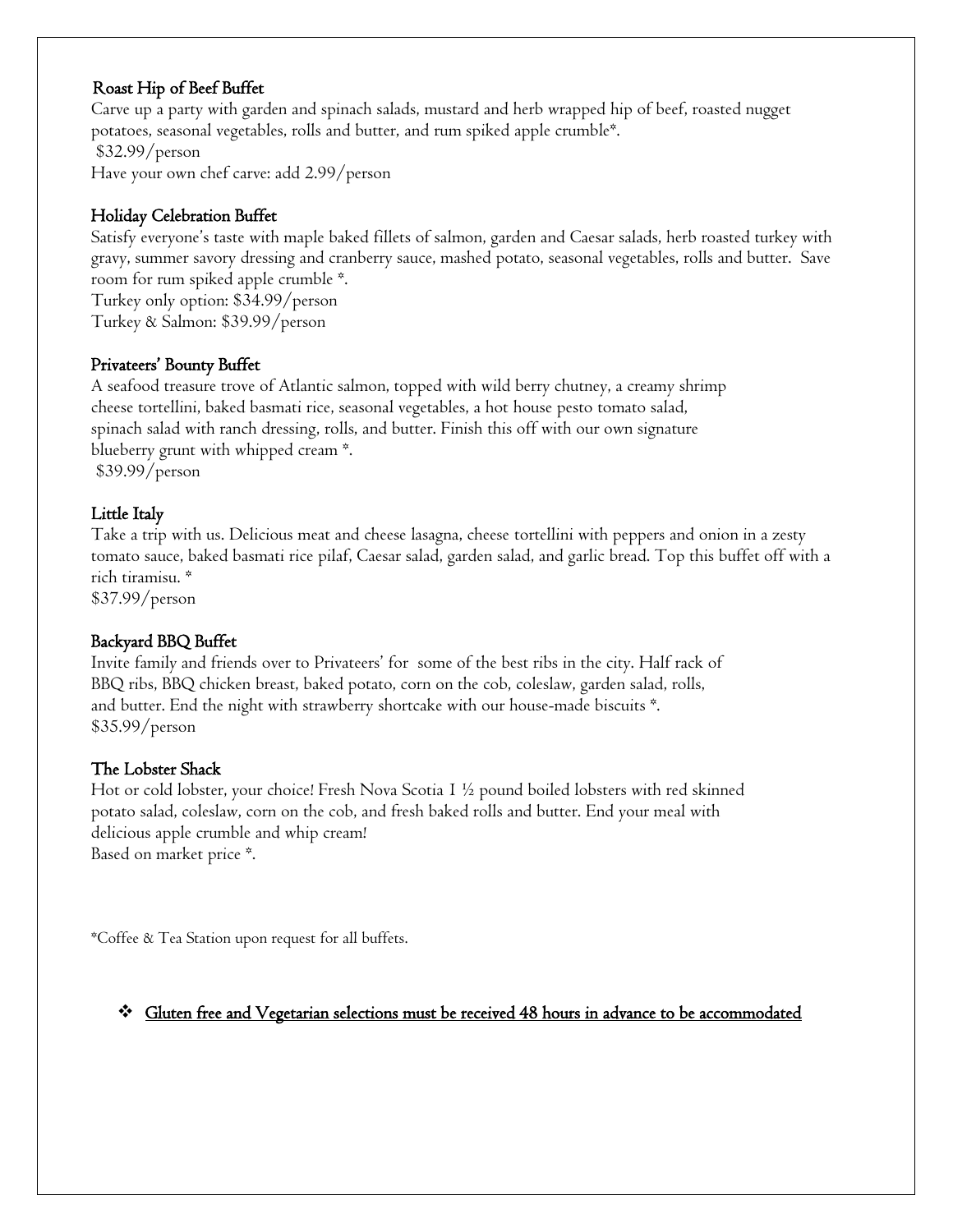#### Roast Hip of Beef Buffet

Carve up a party with garden and spinach salads, mustard and herb wrapped hip of beef, roasted nugget potatoes, seasonal vegetables, rolls and butter, and rum spiked apple crumble\*. \$32.99/person

Have your own chef carve: add 2.99/person

#### Holiday Celebration Buffet

Satisfy everyone's taste with maple baked fillets of salmon, garden and Caesar salads, herb roasted turkey with gravy, summer savory dressing and cranberry sauce, mashed potato, seasonal vegetables, rolls and butter. Save room for rum spiked apple crumble \*. Turkey only option: \$34.99/person

Turkey & Salmon: \$39.99/person

#### Privateers' Bounty Buffet

A seafood treasure trove of Atlantic salmon, topped with wild berry chutney, a creamy shrimp cheese tortellini, baked basmati rice, seasonal vegetables, a hot house pesto tomato salad, spinach salad with ranch dressing, rolls, and butter. Finish this off with our own signature blueberry grunt with whipped cream \*. \$39.99/person

#### Little Italy

Take a trip with us. Delicious meat and cheese lasagna, cheese tortellini with peppers and onion in a zesty tomato sauce, baked basmati rice pilaf, Caesar salad, garden salad, and garlic bread. Top this buffet off with a rich tiramisu. \*

\$37.99/person

#### Backyard BBQ Buffet

Invite family and friends over to Privateers' for some of the best ribs in the city. Half rack of BBQ ribs, BBQ chicken breast, baked potato, corn on the cob, coleslaw, garden salad, rolls, and butter. End the night with strawberry shortcake with our house-made biscuits \*. \$35.99/person

#### The Lobster Shack

Hot or cold lobster, your choice! Fresh Nova Scotia 1 ½ pound boiled lobsters with red skinned potato salad, coleslaw, corn on the cob, and fresh baked rolls and butter. End your meal with delicious apple crumble and whip cream! Based on market price \*.

\*Coffee & Tea Station upon request for all buffets.

#### Gluten free and Vegetarian selections must be received 48 hours in advance to be accommodated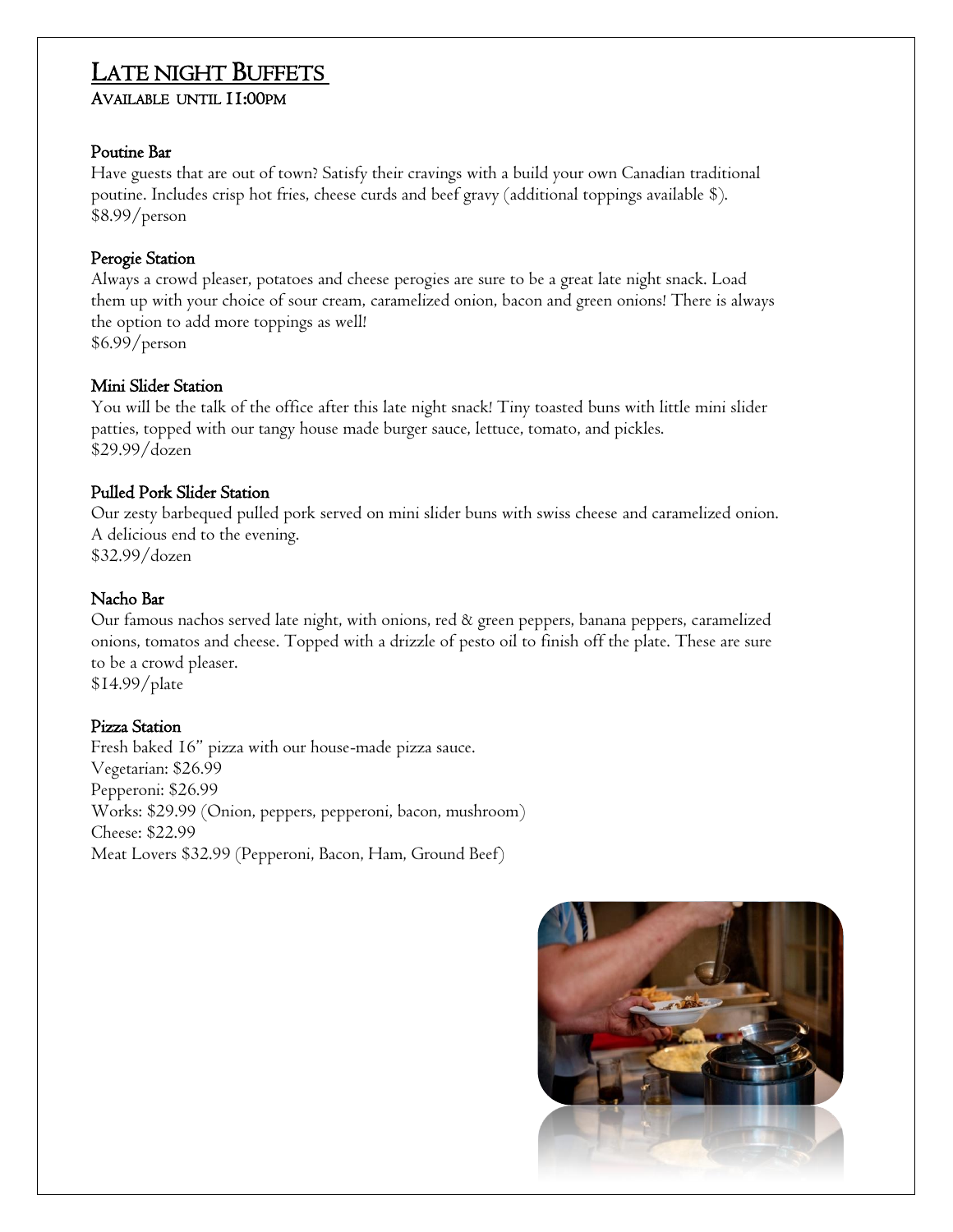### LATE NIGHT BUFFETS

#### AVAILABLE UNTIL 11:00PM

#### Poutine Bar

Have guests that are out of town? Satisfy their cravings with a build your own Canadian traditional poutine. Includes crisp hot fries, cheese curds and beef gravy (additional toppings available \$). \$8.99/person

#### Perogie Station

Always a crowd pleaser, potatoes and cheese perogies are sure to be a great late night snack. Load them up with your choice of sour cream, caramelized onion, bacon and green onions! There is always the option to add more toppings as well! \$6.99/person

#### Mini Slider Station

You will be the talk of the office after this late night snack! Tiny toasted buns with little mini slider patties, topped with our tangy house made burger sauce, lettuce, tomato, and pickles. \$29.99/dozen

#### Pulled Pork Slider Station

Our zesty barbequed pulled pork served on mini slider buns with swiss cheese and caramelized onion. A delicious end to the evening. \$32.99/dozen

#### Nacho Bar

Our famous nachos served late night, with onions, red & green peppers, banana peppers, caramelized onions, tomatos and cheese. Topped with a drizzle of pesto oil to finish off the plate. These are sure to be a crowd pleaser.

\$14.99/plate

#### Pizza Station

Fresh baked 16" pizza with our house-made pizza sauce. Vegetarian: \$26.99 Pepperoni: \$26.99 Works: \$29.99 (Onion, peppers, pepperoni, bacon, mushroom) Cheese: \$22.99 Meat Lovers \$32.99 (Pepperoni, Bacon, Ham, Ground Beef)

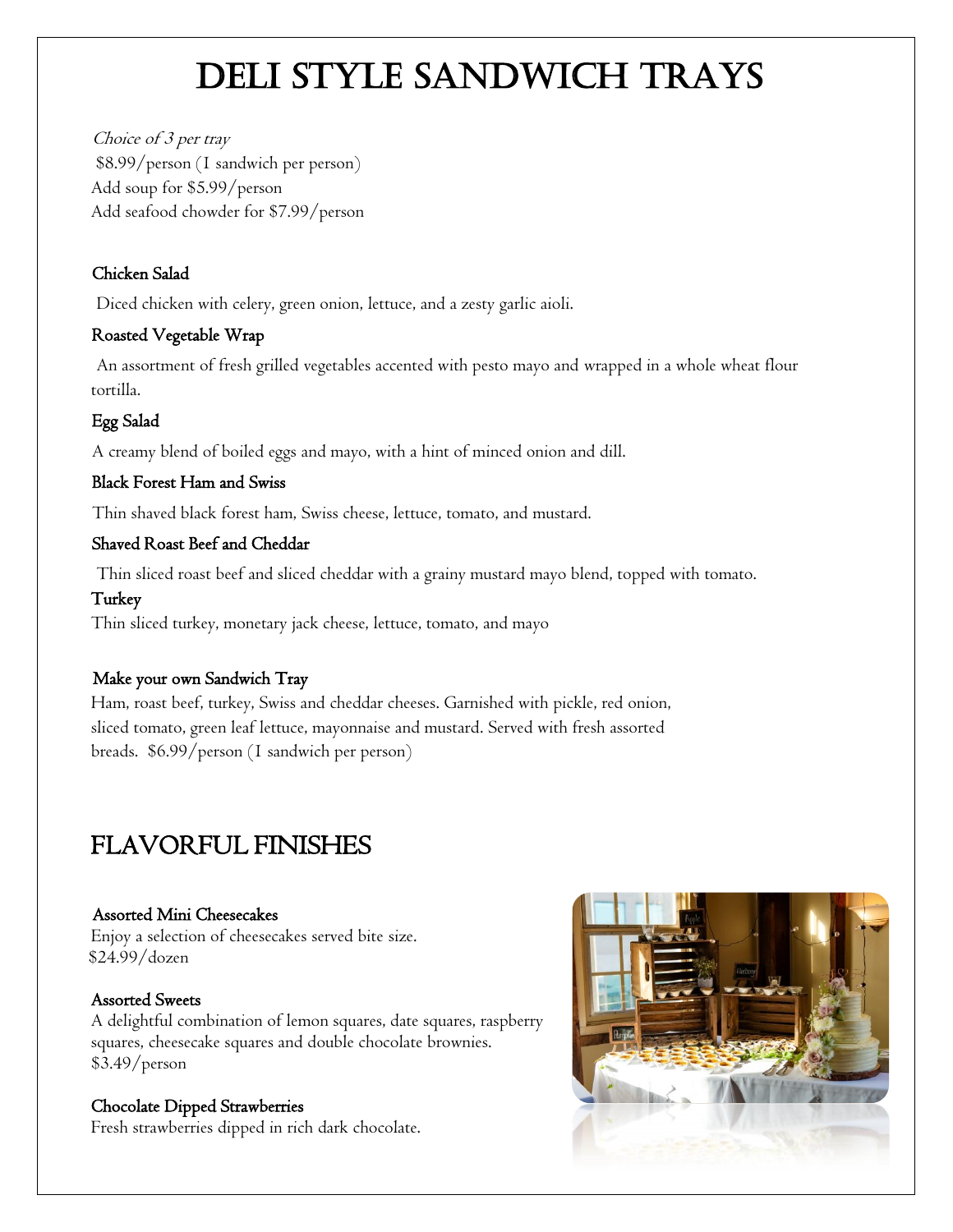# DELI STYLE SANDWICH TRAYS

Choice of 3 per tray \$8.99/person (1 sandwich per person) Add soup for \$5.99/person Add seafood chowder for \$7.99/person

#### Chicken Salad

Diced chicken with celery, green onion, lettuce, and a zesty garlic aioli.

#### Roasted Vegetable Wrap

An assortment of fresh grilled vegetables accented with pesto mayo and wrapped in a whole wheat flour tortilla.

#### Egg Salad

A creamy blend of boiled eggs and mayo, with a hint of minced onion and dill.

#### Black Forest Ham and Swiss

Thin shaved black forest ham, Swiss cheese, lettuce, tomato, and mustard.

#### Shaved Roast Beef and Cheddar

Thin sliced roast beef and sliced cheddar with a grainy mustard mayo blend, topped with tomato.

#### Turkey

Thin sliced turkey, monetary jack cheese, lettuce, tomato, and mayo

#### Make your own Sandwich Tray

Ham, roast beef, turkey, Swiss and cheddar cheeses. Garnished with pickle, red onion, sliced tomato, green leaf lettuce, mayonnaise and mustard. Served with fresh assorted breads. \$6.99/person (1 sandwich per person)

### FLAVORFUL FINISHES

#### Assorted Mini Cheesecakes

Enjoy a selection of cheesecakes served bite size. \$24.99/dozen

#### Assorted Sweets

A delightful combination of lemon squares, date squares, raspberry squares, cheesecake squares and double chocolate brownies. \$3.49/person

#### Chocolate Dipped Strawberries

Fresh strawberries dipped in rich dark chocolate.

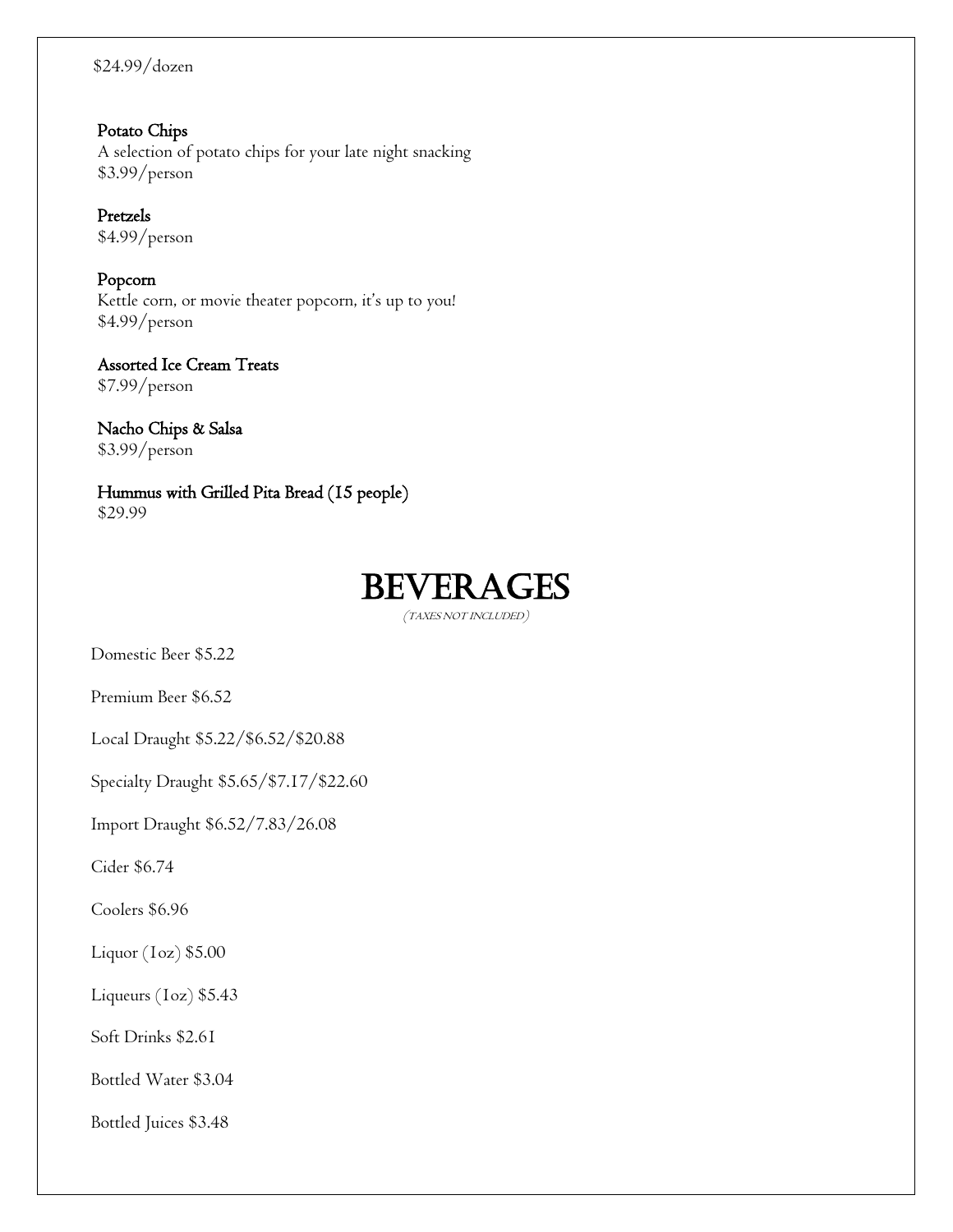#### \$24.99/dozen

 Potato Chips A selection of potato chips for your late night snacking \$3.99/person

 Pretzels \$4.99/person

 Popcorn Kettle corn, or movie theater popcorn, it's up to you! \$4.99/person

 Assorted Ice Cream Treats \$7.99/person

 Nacho Chips & Salsa \$3.99/person

 Hummus with Grilled Pita Bread (15 people) \$29.99

### **BEVERAGES**

(TAXES NOT INCLUDED)

Domestic Beer \$5.22

Premium Beer \$6.52

Local Draught \$5.22/\$6.52/\$20.88

Specialty Draught \$5.65/\$7.17/\$22.60

Import Draught \$6.52/7.83/26.08

Cider \$6.74

Coolers \$6.96

Liquor (1oz) \$5.00

Liqueurs (1oz) \$5.43

Soft Drinks \$2.61

Bottled Water \$3.04

Bottled Juices \$3.48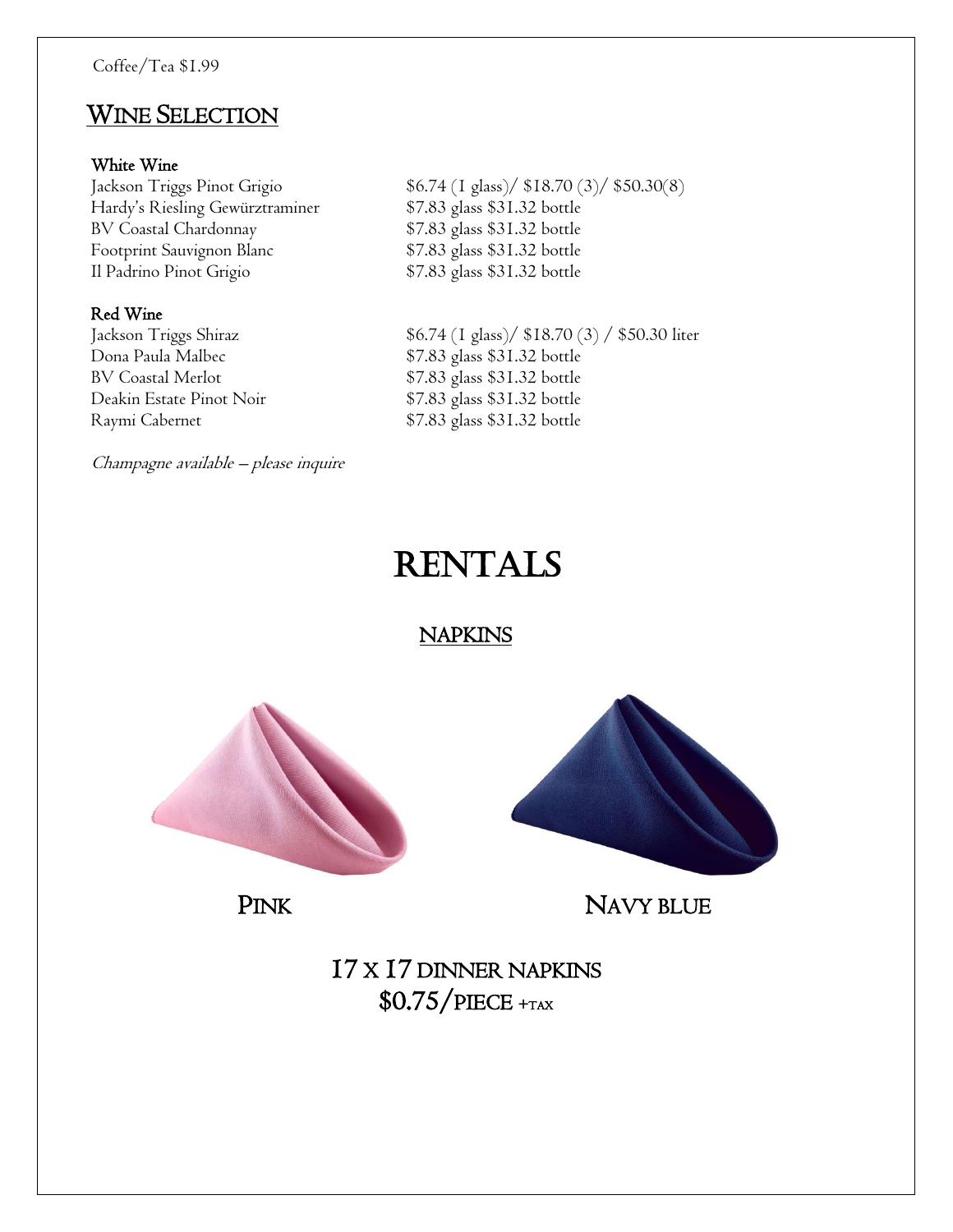### WINE SELECTION

#### White Wine

Hardy's Riesling Gewürztraminer \$7.83 glass \$31.32 bottle BV Coastal Chardonnay \$7.83 glass \$31.32 bottle Footprint Sauvignon Blanc \$7.83 glass \$31.32 bottle Il Padrino Pinot Grigio \$7.83 glass \$31.32 bottle

#### Red Wine

Dona Paula Malbec \$7.83 glass \$31.32 bottle<br>BV Coastal Merlot \$7.83 glass \$31.32 bottle Deakin Estate Pinot Noir \$7.83 glass \$31.32 bottle Raymi Cabernet \$7.83 glass \$31.32 bottle

Champagne available – please inquire

Jackson Triggs Pinot Grigio \$6.74 (1 glass)/ \$18.70 (3)/ \$50.30(8)

Jackson Triggs Shiraz \$6.74 (1 glass)/ \$18.70 (3) / \$50.30 liter \$7.83 glass \$31.32 bottle

### **RENTALS**

#### **NAPKINS**





PINK NAVY BLUE

17 X 17 DINNER NAPKINS \$0.75/PIECE <sup>+</sup>TAX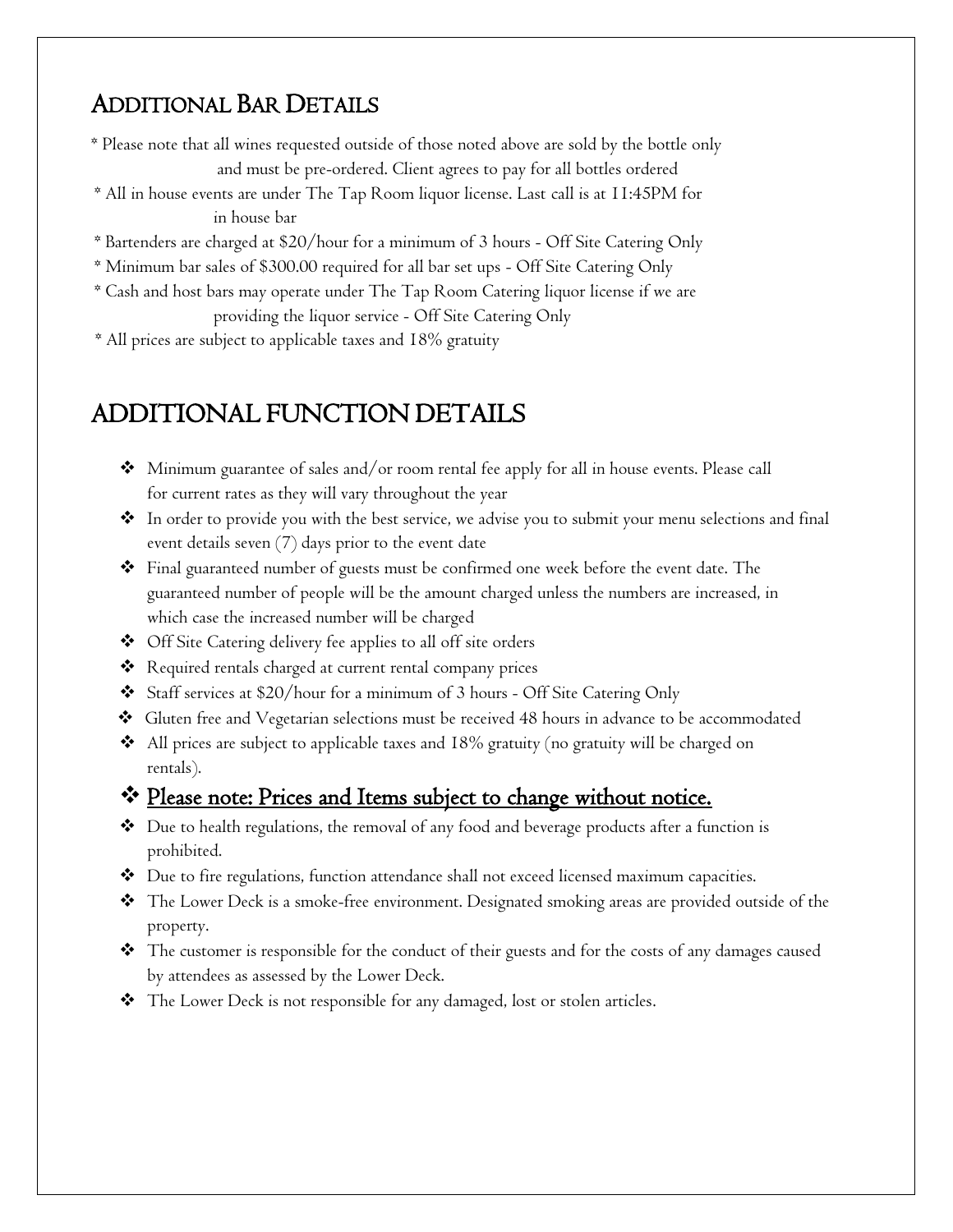### ADDITIONAL BAR DETAILS

- \* Please note that all wines requested outside of those noted above are sold by the bottle only and must be pre-ordered. Client agrees to pay for all bottles ordered
- \* All in house events are under The Tap Room liquor license. Last call is at 11:45PM for in house bar
- \* Bartenders are charged at \$20/hour for a minimum of 3 hours Off Site Catering Only
- \* Minimum bar sales of \$300.00 required for all bar set ups Off Site Catering Only
- \* Cash and host bars may operate under The Tap Room Catering liquor license if we are providing the liquor service - Off Site Catering Only
- \* All prices are subject to applicable taxes and 18% gratuity

### ADDITIONAL FUNCTION DETAILS

- $\clubsuit$  Minimum guarantee of sales and/or room rental fee apply for all in house events. Please call for current rates as they will vary throughout the year
- In order to provide you with the best service, we advise you to submit your menu selections and final event details seven (7) days prior to the event date
- Final guaranteed number of guests must be confirmed one week before the event date. The guaranteed number of people will be the amount charged unless the numbers are increased, in which case the increased number will be charged
- ◆ Off Site Catering delivery fee applies to all off site orders
- Required rentals charged at current rental company prices
- Staff services at \$20/hour for a minimum of 3 hours Off Site Catering Only
- Gluten free and Vegetarian selections must be received 48 hours in advance to be accommodated
- All prices are subject to applicable taxes and 18% gratuity (no gratuity will be charged on rentals).

#### \* Please note: Prices and Items subject to change without notice.

- Due to health regulations, the removal of any food and beverage products after a function is prohibited.
- Due to fire regulations, function attendance shall not exceed licensed maximum capacities.
- The Lower Deck is a smoke-free environment. Designated smoking areas are provided outside of the property.
- The customer is responsible for the conduct of their guests and for the costs of any damages caused by attendees as assessed by the Lower Deck.
- The Lower Deck is not responsible for any damaged, lost or stolen articles.